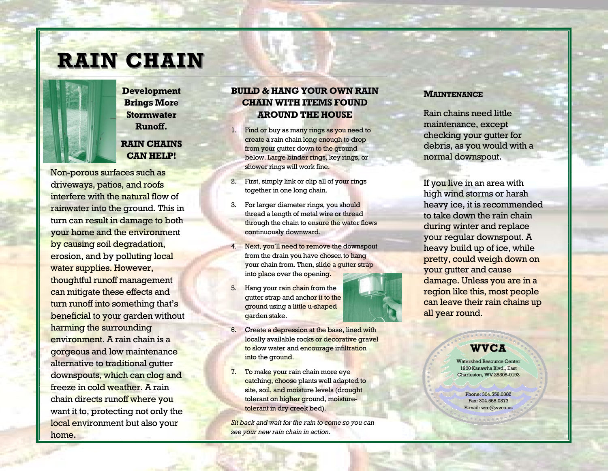# **RAIN CHAIN RAIN CHAIN**



**Development Development Brings More Stormwater Runoff. Runoff.**

### **RAIN CHAINS CAN HELP! CAN HELP!**

Non-porous surfaces such as driveways, patios, and roofs interfere with the natural flow of rainwater into the ground. This in turn can result in damage to both your home and the environment by causing soil degradation, erosion, and by polluting local water supplies. However, thoughtful runoff management can mitigate these effects and turn runoff into something that's beneficial to your garden without harming the surrounding environment. A rain chain is a gorgeous and low maintenance alternative to traditional gutter downspouts, which can clog and freeze in cold weather. A rain chain directs runoff where you want it to, protecting not only the local environment but also your home.

#### **BUILD & HANG YOUR OWN RAIN BUILD & HANG OWN RAIN BUILD & HANG YOUR OWN RAIN CHAIN WITH ITEMS FOUND AROUND THE HOUSE**

- 1. Find or buy as many rings as you need to create a rain chain long enough to drop from your gutter down to the ground below. Large binder rings, key rings, or shower rings will work fine.
- 2. First, simply link or clip all of your rings together in one long chain.
- 3. For larger diameter rings, you should thread a length of metal wire or thread through the chain to ensure the water flows continuously downward.
- 4. Next, you'll need to remove the downspout from the drain you have chosen to hang your chain from. Then, slide a gutter strap into place over the opening.
- 5. Hang your rain chain from the gutter strap and anchor it to the ground using a little u-shaped garden stake.



- 6. Create a depression at the base, lined with locally available rocks or decorative gravel to slow water and encourage infiltration into the ground.
- 7. To make your rain chain more eye catching, choose plants well adapted to site, soil, and moisture levels (drought tolerant on higher ground, moisturetolerant in dry creek bed).

*Sit back and wait for the rain to come so you can see your new rain chain in action.* 

#### **MAINTENANCE**

Rain chains need little maintenance, except checking your gutter for debris, as you would with a normal downspout.

If you live in an area with high wind storms or harsh heavy ice, it is recommended to take down the rain chain during winter and replace your regular downspout. A heavy build up of ice, while pretty, could weigh down on your gutter and cause damage. Unless you are in a region like this, most people can leave their rain chains up all year round.

## **WVCA**

Watershed Resource Center 1900 Kanawha Blvd., East Charleston, WV 25305-0193

> Phone: 304.558.0382 Fax: 304.558.0373 E-mail: wrc@wvca.us